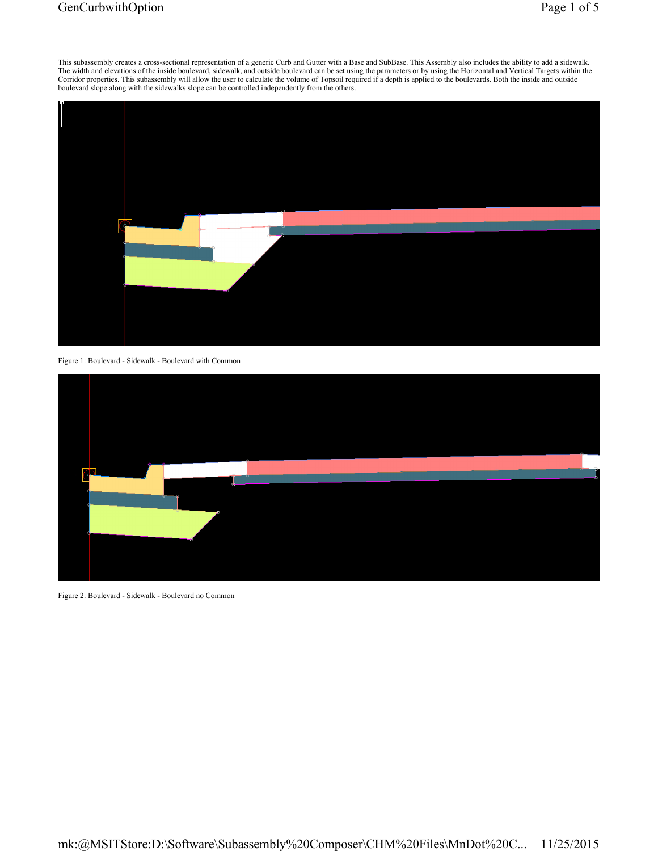## GenCurbwithOption Page 1 of 5



Figure 1: Boulevard - Sidewalk - Boulevard with Common



Figure 2: Boulevard - Sidewalk - Boulevard no Common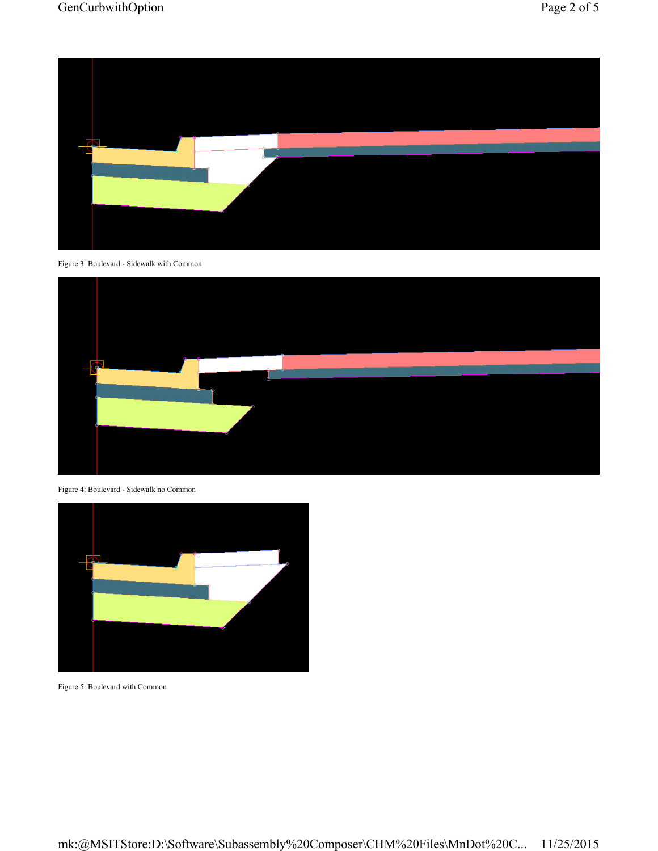

Figure 3: Boulevard - Sidewalk with Common



Figure 4: Boulevard - Sidewalk no Common



Figure 5: Boulevard with Common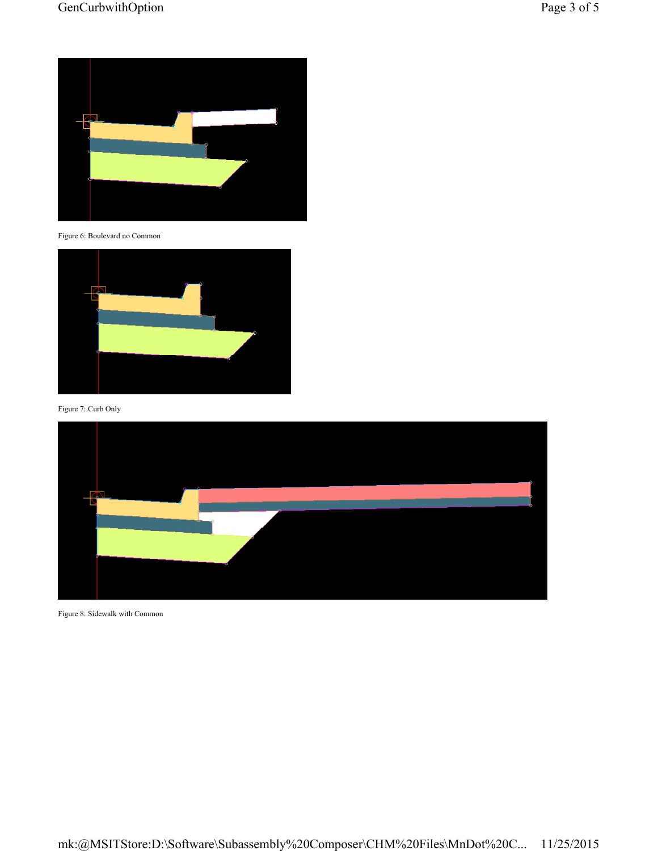

Figure 6: Boulevard no Common



Figure 7: Curb Only



Figure 8: Sidewalk with Common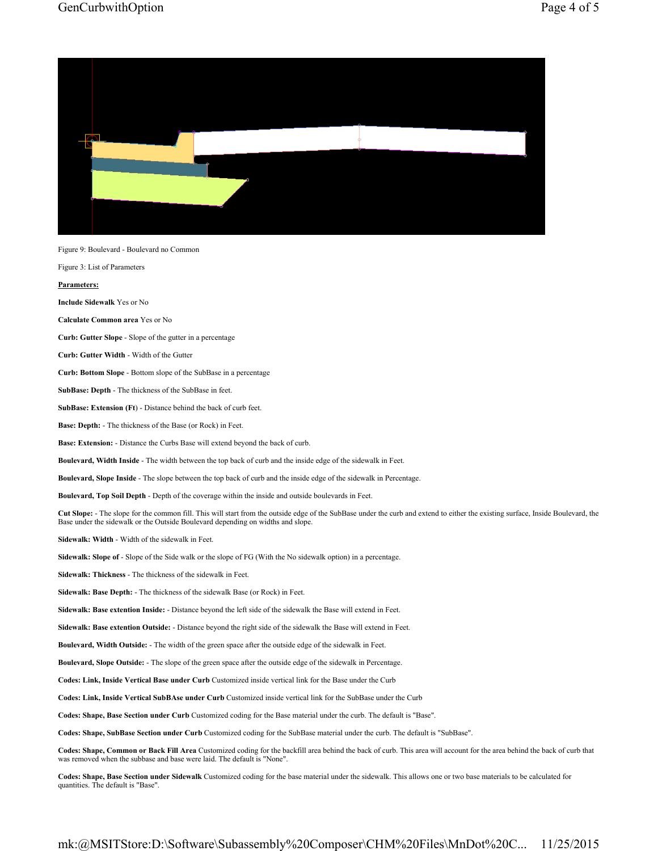## GenCurbwithOption Page 4 of 5



Figure 3: List of Parameters

**Parameters:** 

**Include Sidewalk** Yes or No

**Calculate Common area** Yes or No

**Curb: Gutter Slope** - Slope of the gutter in a percentage

**Curb: Gutter Width** - Width of the Gutter

**Curb: Bottom Slope** - Bottom slope of the SubBase in a percentage

**SubBase: Depth** - The thickness of the SubBase in feet.

**SubBase: Extension (Ft**) - Distance behind the back of curb feet.

**Base: Depth:** - The thickness of the Base (or Rock) in Feet.

**Base: Extension:** - Distance the Curbs Base will extend beyond the back of curb.

**Boulevard, Width Inside** - The width between the top back of curb and the inside edge of the sidewalk in Feet.

**Boulevard, Slope Inside** - The slope between the top back of curb and the inside edge of the sidewalk in Percentage.

**Boulevard, Top Soil Depth** - Depth of the coverage within the inside and outside boulevards in Feet.

**Cut Slope:** - The slope for the common fill. This will start from the outside edge of the SubBase under the curb and extend to either the existing surface, Inside Boulevard, the Base under the sidewalk or the Outside Boulevard depending on widths and slope.

**Sidewalk: Width** - Width of the sidewalk in Feet.

**Sidewalk: Slope of** - Slope of the Side walk or the slope of FG (With the No sidewalk option) in a percentage.

**Sidewalk: Thickness** - The thickness of the sidewalk in Feet.

**Sidewalk: Base Depth:** - The thickness of the sidewalk Base (or Rock) in Feet.

**Sidewalk: Base extention Inside:** - Distance beyond the left side of the sidewalk the Base will extend in Feet.

**Sidewalk: Base extention Outside:** - Distance beyond the right side of the sidewalk the Base will extend in Feet.

**Boulevard, Width Outside:** - The width of the green space after the outside edge of the sidewalk in Feet.

**Boulevard, Slope Outside:** - The slope of the green space after the outside edge of the sidewalk in Percentage.

**Codes: Link, Inside Vertical Base under Curb** Customized inside vertical link for the Base under the Curb

**Codes: Link, Inside Vertical SubBAse under Curb** Customized inside vertical link for the SubBase under the Curb

**Codes: Shape, Base Section under Curb** Customized coding for the Base material under the curb. The default is "Base".

**Codes: Shape, SubBase Section under Curb** Customized coding for the SubBase material under the curb. The default is "SubBase".

**Codes: Shape, Common or Back Fill Area** Customized coding for the backfill area behind the back of curb. This area will account for the area behind the back of curb that was removed when the subbase and base were laid. The default is "None".

**Codes: Shape, Base Section under Sidewalk** Customized coding for the base material under the sidewalk. This allows one or two base materials to be calculated for quantities. The default is "Base".